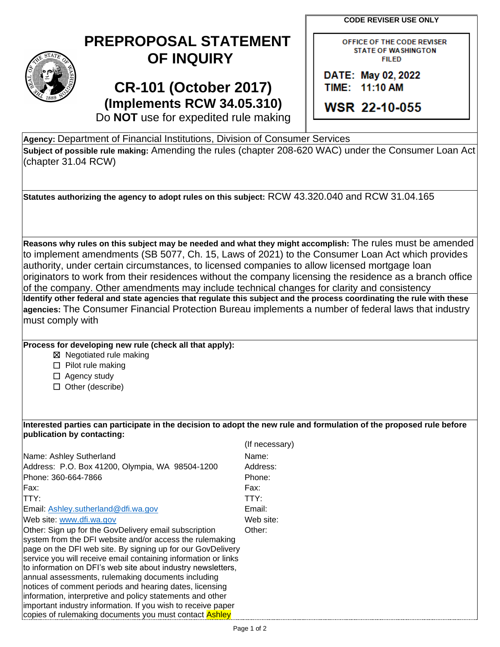**CODE REVISER USE ONLY**

## **PREPROPOSAL STATEMENT OF INQUIRY**

## **CR-101 (October 2017) (Implements RCW 34.05.310)**

| OFFICE OF THE CODE REVISER |  |  |  |
|----------------------------|--|--|--|
| <b>STATE OF WASHINGTON</b> |  |  |  |
| <b>FILED</b>               |  |  |  |

DATE: May 02, 2022 TIME: 11:10 AM

WSR 22-10-055

Do **NOT** use for expedited rule making

**Agency:** Department of Financial Institutions, Division of Consumer Services **Subject of possible rule making:** Amending the rules (chapter 208-620 WAC) under the Consumer Loan Act (chapter 31.04 RCW)

**Statutes authorizing the agency to adopt rules on this subject:** RCW 43.320.040 and RCW 31.04.165

**Reasons why rules on this subject may be needed and what they might accomplish:** The rules must be amended to implement amendments (SB 5077, Ch. 15, Laws of 2021) to the Consumer Loan Act which provides authority, under certain circumstances, to licensed companies to allow licensed mortgage loan originators to work from their residences without the company licensing the residence as a branch office of the company. Other amendments may include technical changes for clarity and consistency **Identify other federal and state agencies that regulate this subject and the process coordinating the rule with these** 

**agencies:** The Consumer Financial Protection Bureau implements a number of federal laws that industry must comply with

## **Process for developing new rule (check all that apply):**

☒ Negotiated rule making

☐ Pilot rule making

□ Agency study

☐ Other (describe)

## **Interested parties can participate in the decision to adopt the new rule and formulation of the proposed rule before publication by contacting:**

|                                                                                                                                | (If necessary) |
|--------------------------------------------------------------------------------------------------------------------------------|----------------|
| Name: Ashley Sutherland                                                                                                        | Name:          |
| Address: P.O. Box 41200, Olympia, WA 98504-1200                                                                                | Address:       |
| Phone: 360-664-7866                                                                                                            | Phone:         |
| Fax:                                                                                                                           | Fax:           |
| ITTY:                                                                                                                          | TTY:           |
| Email: Ashley.sutherland@dfi.wa.gov                                                                                            | Email:         |
| Web site: www.dfi.wa.gov                                                                                                       | Web site:      |
| Other: Sign up for the GovDelivery email subscription                                                                          | Other:         |
| system from the DFI website and/or access the rulemaking                                                                       |                |
| page on the DFI web site. By signing up for our GovDelivery                                                                    |                |
| service you will receive email containing information or links<br>to information on DFI's web site about industry newsletters, |                |
| annual assessments, rulemaking documents including                                                                             |                |
| notices of comment periods and hearing dates, licensing                                                                        |                |
| information, interpretive and policy statements and other                                                                      |                |
| important industry information. If you wish to receive paper                                                                   |                |
| copies of rulemaking documents you must contact <b>Ashley</b>                                                                  |                |